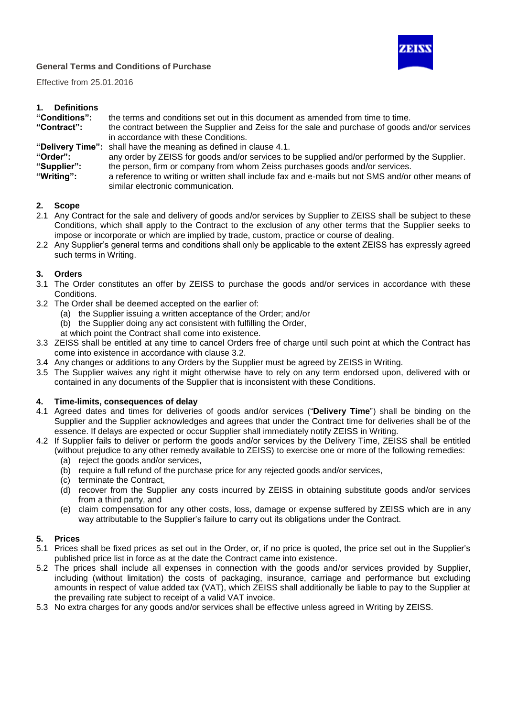

Effective from 25.01.2016

| 1. | <b>Definitions</b> |
|----|--------------------|
|    |                    |

| "Conditions": | the terms and conditions set out in this document as amended from time to time.                |
|---------------|------------------------------------------------------------------------------------------------|
| "Contract":   | the contract between the Supplier and Zeiss for the sale and purchase of goods and/or services |
|               | in accordance with these Conditions.                                                           |
|               | "Delivery Time": shall have the meaning as defined in clause 4.1.                              |
| $H \cap r$    | any order by ZEISS for goods and/or services to be supplied and/or performed by the Supplier   |

"Order": any order by ZEISS for goods and/or services to be supplied and/or performed by the Supplier.<br>"Supplier": the person, firm or company from whom Zeiss purchases goods and/or services.

- the person, firm or company from whom Zeiss purchases goods and/or services.
- **"Writing":** a reference to writing or written shall include fax and e-mails but not SMS and/or other means of similar electronic communication.

# **2. Scope**

- 2.1 Any Contract for the sale and delivery of goods and/or services by Supplier to ZEISS shall be subject to these Conditions, which shall apply to the Contract to the exclusion of any other terms that the Supplier seeks to impose or incorporate or which are implied by trade, custom, practice or course of dealing.
- 2.2 Any Supplier's general terms and conditions shall only be applicable to the extent ZEISS has expressly agreed such terms in Writing.

# **3. Orders**

- 3.1 The Order constitutes an offer by ZEISS to purchase the goods and/or services in accordance with these Conditions.
- 3.2 The Order shall be deemed accepted on the earlier of:
	- (a) the Supplier issuing a written acceptance of the Order; and/or
	- (b) the Supplier doing any act consistent with fulfilling the Order,
	- at which point the Contract shall come into existence.
- 3.3 ZEISS shall be entitled at any time to cancel Orders free of charge until such point at which the Contract has come into existence in accordance with clause 3.2.
- 3.4 Any changes or additions to any Orders by the Supplier must be agreed by ZEISS in Writing.
- 3.5 The Supplier waives any right it might otherwise have to rely on any term endorsed upon, delivered with or contained in any documents of the Supplier that is inconsistent with these Conditions.

## **4. Time-limits, consequences of delay**

- 4.1 Agreed dates and times for deliveries of goods and/or services ("**Delivery Time**") shall be binding on the Supplier and the Supplier acknowledges and agrees that under the Contract time for deliveries shall be of the essence. If delays are expected or occur Supplier shall immediately notify ZEISS in Writing.
- 4.2 If Supplier fails to deliver or perform the goods and/or services by the Delivery Time, ZEISS shall be entitled (without prejudice to any other remedy available to ZEISS) to exercise one or more of the following remedies:
	- (a) reject the goods and/or services,
	- (b) require a full refund of the purchase price for any rejected goods and/or services,
	- (c) terminate the Contract,
	- (d) recover from the Supplier any costs incurred by ZEISS in obtaining substitute goods and/or services from a third party, and
	- (e) claim compensation for any other costs, loss, damage or expense suffered by ZEISS which are in any way attributable to the Supplier's failure to carry out its obligations under the Contract.

## **5. Prices**

- 5.1 Prices shall be fixed prices as set out in the Order, or, if no price is quoted, the price set out in the Supplier's published price list in force as at the date the Contract came into existence.
- 5.2 The prices shall include all expenses in connection with the goods and/or services provided by Supplier, including (without limitation) the costs of packaging, insurance, carriage and performance but excluding amounts in respect of value added tax (VAT), which ZEISS shall additionally be liable to pay to the Supplier at the prevailing rate subject to receipt of a valid VAT invoice.
- 5.3 No extra charges for any goods and/or services shall be effective unless agreed in Writing by ZEISS.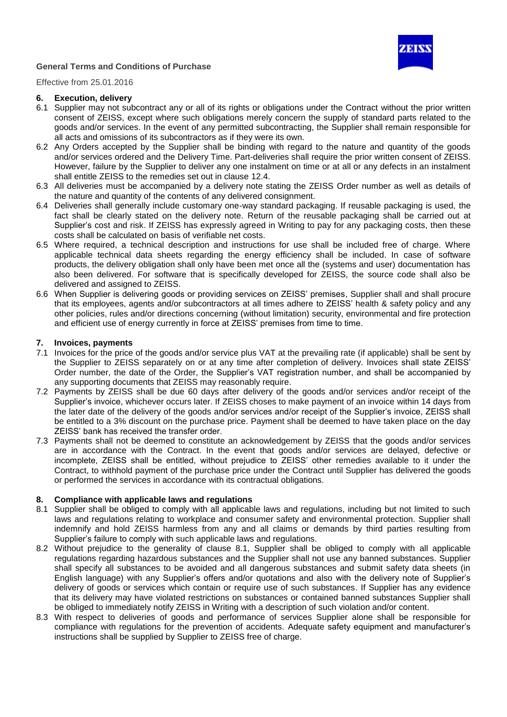

Effective from 25.01.2016

### **6. Execution, delivery**

- 6.1 Supplier may not subcontract any or all of its rights or obligations under the Contract without the prior written consent of ZEISS, except where such obligations merely concern the supply of standard parts related to the goods and/or services. In the event of any permitted subcontracting, the Supplier shall remain responsible for all acts and omissions of its subcontractors as if they were its own.
- 6.2 Any Orders accepted by the Supplier shall be binding with regard to the nature and quantity of the goods and/or services ordered and the Delivery Time. Part-deliveries shall require the prior written consent of ZEISS. However, failure by the Supplier to deliver any one instalment on time or at all or any defects in an instalment shall entitle ZEISS to the remedies set out in clause 12.4.
- 6.3 All deliveries must be accompanied by a delivery note stating the ZEISS Order number as well as details of the nature and quantity of the contents of any delivered consignment.
- 6.4 Deliveries shall generally include customary one-way standard packaging. If reusable packaging is used, the fact shall be clearly stated on the delivery note. Return of the reusable packaging shall be carried out at Supplier's cost and risk. If ZEISS has expressly agreed in Writing to pay for any packaging costs, then these costs shall be calculated on basis of verifiable net costs.
- 6.5 Where required, a technical description and instructions for use shall be included free of charge. Where applicable technical data sheets regarding the energy efficiency shall be included. In case of software products, the delivery obligation shall only have been met once all the (systems and user) documentation has also been delivered. For software that is specifically developed for ZEISS, the source code shall also be delivered and assigned to ZEISS.
- 6.6 When Supplier is delivering goods or providing services on ZEISS' premises, Supplier shall and shall procure that its employees, agents and/or subcontractors at all times adhere to ZEISS' health & safety policy and any other policies, rules and/or directions concerning (without limitation) security, environmental and fire protection and efficient use of energy currently in force at ZEISS' premises from time to time.

### **7. Invoices, payments**

- 7.1 Invoices for the price of the goods and/or service plus VAT at the prevailing rate (if applicable) shall be sent by the Supplier to ZEISS separately on or at any time after completion of delivery. Invoices shall state ZEISS' Order number, the date of the Order, the Supplier's VAT registration number, and shall be accompanied by any supporting documents that ZEISS may reasonably require.
- 7.2 Payments by ZEISS shall be due 60 days after delivery of the goods and/or services and/or receipt of the Supplier's invoice, whichever occurs later. If ZEISS choses to make payment of an invoice within 14 days from the later date of the delivery of the goods and/or services and/or receipt of the Supplier's invoice, ZEISS shall be entitled to a 3% discount on the purchase price. Payment shall be deemed to have taken place on the day ZEISS' bank has received the transfer order.
- 7.3 Payments shall not be deemed to constitute an acknowledgement by ZEISS that the goods and/or services are in accordance with the Contract. In the event that goods and/or services are delayed, defective or incomplete, ZEISS shall be entitled, without prejudice to ZEISS' other remedies available to it under the Contract, to withhold payment of the purchase price under the Contract until Supplier has delivered the goods or performed the services in accordance with its contractual obligations.

## **8. Compliance with applicable laws and regulations**

- 8.1 Supplier shall be obliged to comply with all applicable laws and regulations, including but not limited to such laws and regulations relating to workplace and consumer safety and environmental protection. Supplier shall indemnify and hold ZEISS harmless from any and all claims or demands by third parties resulting from Supplier's failure to comply with such applicable laws and regulations.
- 8.2 Without prejudice to the generality of clause 8.1, Supplier shall be obliged to comply with all applicable regulations regarding hazardous substances and the Supplier shall not use any banned substances. Supplier shall specify all substances to be avoided and all dangerous substances and submit safety data sheets (in English language) with any Supplier's offers and/or quotations and also with the delivery note of Supplier's delivery of goods or services which contain or require use of such substances. If Supplier has any evidence that its delivery may have violated restrictions on substances or contained banned substances Supplier shall be obliged to immediately notify ZEISS in Writing with a description of such violation and/or content.
- 8.3 With respect to deliveries of goods and performance of services Supplier alone shall be responsible for compliance with regulations for the prevention of accidents. Adequate safety equipment and manufacturer's instructions shall be supplied by Supplier to ZEISS free of charge.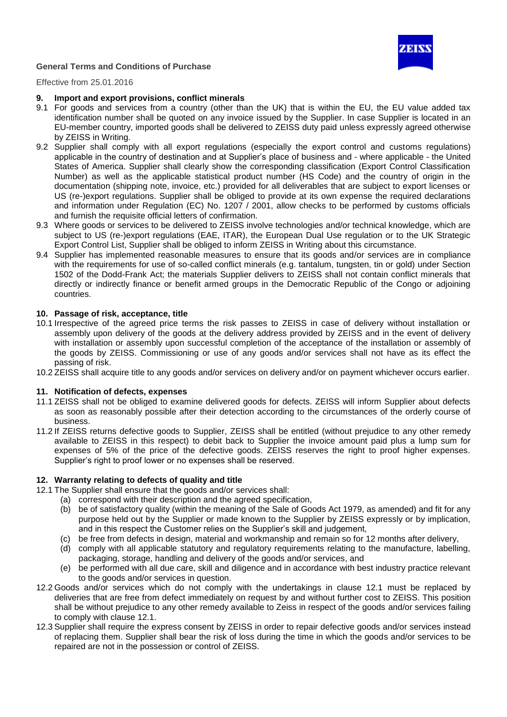

Effective from 25.01.2016

#### **9. Import and export provisions, conflict minerals**

- 9.1 For goods and services from a country (other than the UK) that is within the EU, the EU value added tax identification number shall be quoted on any invoice issued by the Supplier. In case Supplier is located in an EU-member country, imported goods shall be delivered to ZEISS duty paid unless expressly agreed otherwise by ZEISS in Writing.
- 9.2 Supplier shall comply with all export regulations (especially the export control and customs regulations) applicable in the country of destination and at Supplier's place of business and - where applicable - the United States of America. Supplier shall clearly show the corresponding classification (Export Control Classification Number) as well as the applicable statistical product number (HS Code) and the country of origin in the documentation (shipping note, invoice, etc.) provided for all deliverables that are subject to export licenses or US (re-)export regulations. Supplier shall be obliged to provide at its own expense the required declarations and information under Regulation (EC) No. 1207 / 2001, allow checks to be performed by customs officials and furnish the requisite official letters of confirmation.
- 9.3 Where goods or services to be delivered to ZEISS involve technologies and/or technical knowledge, which are subject to US (re-)export regulations (EAE, ITAR), the European Dual Use regulation or to the UK Strategic Export Control List, Supplier shall be obliged to inform ZEISS in Writing about this circumstance.
- 9.4 Supplier has implemented reasonable measures to ensure that its goods and/or services are in compliance with the requirements for use of so-called conflict minerals (e.g. tantalum, tungsten, tin or gold) under Section 1502 of the Dodd-Frank Act; the materials Supplier delivers to ZEISS shall not contain conflict minerals that directly or indirectly finance or benefit armed groups in the Democratic Republic of the Congo or adjoining countries.

# **10. Passage of risk, acceptance, title**

- 10.1 Irrespective of the agreed price terms the risk passes to ZEISS in case of delivery without installation or assembly upon delivery of the goods at the delivery address provided by ZEISS and in the event of delivery with installation or assembly upon successful completion of the acceptance of the installation or assembly of the goods by ZEISS. Commissioning or use of any goods and/or services shall not have as its effect the passing of risk.
- 10.2 ZEISS shall acquire title to any goods and/or services on delivery and/or on payment whichever occurs earlier.

#### **11. Notification of defects, expenses**

- 11.1 ZEISS shall not be obliged to examine delivered goods for defects. ZEISS will inform Supplier about defects as soon as reasonably possible after their detection according to the circumstances of the orderly course of business.
- 11.2 If ZEISS returns defective goods to Supplier, ZEISS shall be entitled (without prejudice to any other remedy available to ZEISS in this respect) to debit back to Supplier the invoice amount paid plus a lump sum for expenses of 5% of the price of the defective goods. ZEISS reserves the right to proof higher expenses. Supplier's right to proof lower or no expenses shall be reserved.

#### **12. Warranty relating to defects of quality and title**

- 12.1 The Supplier shall ensure that the goods and/or services shall:
	- (a) correspond with their description and the agreed specification,
		- (b) be of satisfactory quality (within the meaning of the Sale of Goods Act 1979, as amended) and fit for any purpose held out by the Supplier or made known to the Supplier by ZEISS expressly or by implication, and in this respect the Customer relies on the Supplier's skill and judgement,
		- (c) be free from defects in design, material and workmanship and remain so for 12 months after delivery,
		- (d) comply with all applicable statutory and regulatory requirements relating to the manufacture, labelling, packaging, storage, handling and delivery of the goods and/or services, and
		- (e) be performed with all due care, skill and diligence and in accordance with best industry practice relevant to the goods and/or services in question.
- 12.2 Goods and/or services which do not comply with the undertakings in clause 12.1 must be replaced by deliveries that are free from defect immediately on request by and without further cost to ZEISS. This position shall be without prejudice to any other remedy available to Zeiss in respect of the goods and/or services failing to comply with clause 12.1.
- 12.3 Supplier shall require the express consent by ZEISS in order to repair defective goods and/or services instead of replacing them. Supplier shall bear the risk of loss during the time in which the goods and/or services to be repaired are not in the possession or control of ZEISS.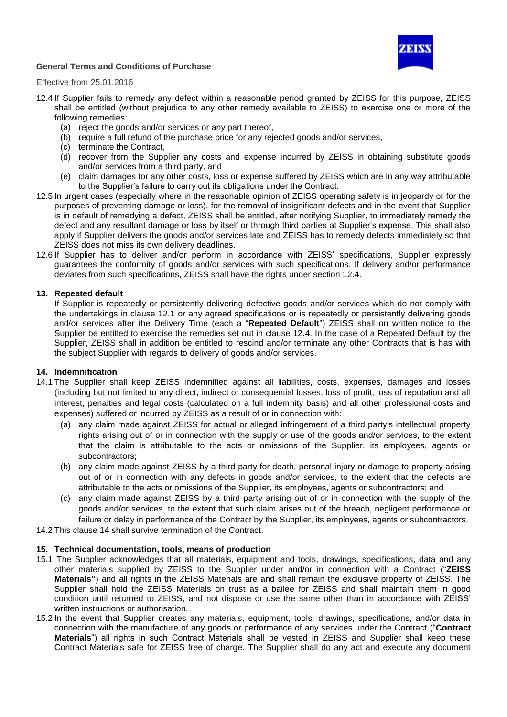

Effective from 25.01.2016

- 12.4 If Supplier fails to remedy any defect within a reasonable period granted by ZEISS for this purpose, ZEISS shall be entitled (without prejudice to any other remedy available to ZEISS) to exercise one or more of the following remedies:
	- (a) reject the goods and/or services or any part thereof,
	- (b) require a full refund of the purchase price for any rejected goods and/or services,
	- (c) terminate the Contract,
	- (d) recover from the Supplier any costs and expense incurred by ZEISS in obtaining substitute goods and/or services from a third party, and
	- (e) claim damages for any other costs, loss or expense suffered by ZEISS which are in any way attributable to the Supplier's failure to carry out its obligations under the Contract.
- 12.5 In urgent cases (especially where in the reasonable opinion of ZEISS operating safety is in jeopardy or for the purposes of preventing damage or loss), for the removal of insignificant defects and in the event that Supplier is in default of remedying a defect, ZEISS shall be entitled, after notifying Supplier, to immediately remedy the defect and any resultant damage or loss by itself or through third parties at Supplier's expense. This shall also apply if Supplier delivers the goods and/or services late and ZEISS has to remedy defects immediately so that ZEISS does not miss its own delivery deadlines.
- 12.6 If Supplier has to deliver and/or perform in accordance with ZEISS' specifications, Supplier expressly guarantees the conformity of goods and/or services with such specifications. If delivery and/or performance deviates from such specifications, ZEISS shall have the rights under section 12.4.

### **13. Repeated default**

If Supplier is repeatedly or persistently delivering defective goods and/or services which do not comply with the undertakings in clause 12.1 or any agreed specifications or is repeatedly or persistently delivering goods and/or services after the Delivery Time (each a "**Repeated Default**") ZEISS shall on written notice to the Supplier be entitled to exercise the remedies set out in clause 12.4. In the case of a Repeated Default by the Supplier, ZEISS shall in addition be entitled to rescind and/or terminate any other Contracts that is has with the subject Supplier with regards to delivery of goods and/or services.

#### **14. Indemnification**

- 14.1 The Supplier shall keep ZEISS indemnified against all liabilities, costs, expenses, damages and losses (including but not limited to any direct, indirect or consequential losses, loss of profit, loss of reputation and all interest, penalties and legal costs (calculated on a full indemnity basis) and all other professional costs and expenses) suffered or incurred by ZEISS as a result of or in connection with:
	- (a) any claim made against ZEISS for actual or alleged infringement of a third party's intellectual property rights arising out of or in connection with the supply or use of the goods and/or services, to the extent that the claim is attributable to the acts or omissions of the Supplier, its employees, agents or subcontractors;
	- (b) any claim made against ZEISS by a third party for death, personal injury or damage to property arising out of or in connection with any defects in goods and/or services, to the extent that the defects are attributable to the acts or omissions of the Supplier, its employees, agents or subcontractors; and
	- (c) any claim made against ZEISS by a third party arising out of or in connection with the supply of the goods and/or services, to the extent that such claim arises out of the breach, negligent performance or failure or delay in performance of the Contract by the Supplier, its employees, agents or subcontractors.

14.2 This clause 14 shall survive termination of the Contract.

#### **15. Technical documentation, tools, means of production**

- 15.1 The Supplier acknowledges that all materials, equipment and tools, drawings, specifications, data and any other materials supplied by ZEISS to the Supplier under and/or in connection with a Contract ("**ZEISS Materials"**) and all rights in the ZEISS Materials are and shall remain the exclusive property of ZEISS. The Supplier shall hold the ZEISS Materials on trust as a bailee for ZEISS and shall maintain them in good condition until returned to ZEISS, and not dispose or use the same other than in accordance with ZEISS' written instructions or authorisation.
- 15.2 In the event that Supplier creates any materials, equipment, tools, drawings, specifications, and/or data in connection with the manufacture of any goods or performance of any services under the Contract ("**Contract Materials**") all rights in such Contract Materials shall be vested in ZEISS and Supplier shall keep these Contract Materials safe for ZEISS free of charge. The Supplier shall do any act and execute any document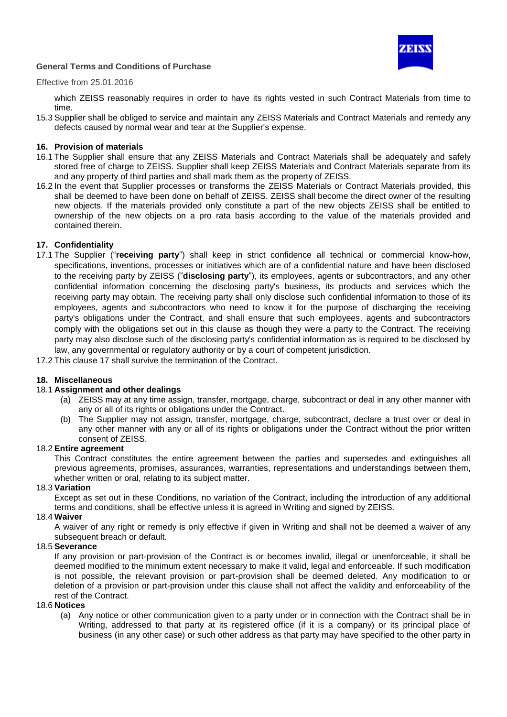

## Effective from 25.01.2016

which ZEISS reasonably requires in order to have its rights vested in such Contract Materials from time to time.

15.3 Supplier shall be obliged to service and maintain any ZEISS Materials and Contract Materials and remedy any defects caused by normal wear and tear at the Supplier's expense.

### **16. Provision of materials**

- 16.1 The Supplier shall ensure that any ZEISS Materials and Contract Materials shall be adequately and safely stored free of charge to ZEISS. Supplier shall keep ZEISS Materials and Contract Materials separate from its and any property of third parties and shall mark them as the property of ZEISS.
- 16.2 In the event that Supplier processes or transforms the ZEISS Materials or Contract Materials provided, this shall be deemed to have been done on behalf of ZEISS. ZEISS shall become the direct owner of the resulting new objects. If the materials provided only constitute a part of the new objects ZEISS shall be entitled to ownership of the new objects on a pro rata basis according to the value of the materials provided and contained therein.

### **17. Confidentiality**

- 17.1 The Supplier ("**receiving party**") shall keep in strict confidence all technical or commercial know-how, specifications, inventions, processes or initiatives which are of a confidential nature and have been disclosed to the receiving party by ZEISS ("**disclosing party**"), its employees, agents or subcontractors, and any other confidential information concerning the disclosing party's business, its products and services which the receiving party may obtain. The receiving party shall only disclose such confidential information to those of its employees, agents and subcontractors who need to know it for the purpose of discharging the receiving party's obligations under the Contract, and shall ensure that such employees, agents and subcontractors comply with the obligations set out in this clause as though they were a party to the Contract. The receiving party may also disclose such of the disclosing party's confidential information as is required to be disclosed by law, any governmental or regulatory authority or by a court of competent jurisdiction.
- 17.2 This clause 17 shall survive the termination of the Contract.

## **18. Miscellaneous**

#### 18.1 **Assignment and other dealings**

- (a) ZEISS may at any time assign, transfer, mortgage, charge, subcontract or deal in any other manner with any or all of its rights or obligations under the Contract.
- (b) The Supplier may not assign, transfer, mortgage, charge, subcontract, declare a trust over or deal in any other manner with any or all of its rights or obligations under the Contract without the prior written consent of ZEISS.

#### 18.2 **Entire agreement**

This Contract constitutes the entire agreement between the parties and supersedes and extinguishes all previous agreements, promises, assurances, warranties, representations and understandings between them, whether written or oral, relating to its subject matter.

#### 18.3 **Variation**

Except as set out in these Conditions, no variation of the Contract, including the introduction of any additional terms and conditions, shall be effective unless it is agreed in Writing and signed by ZEISS.

## 18.4 **Waiver**

A waiver of any right or remedy is only effective if given in Writing and shall not be deemed a waiver of any subsequent breach or default.

#### 18.5 **Severance**

If any provision or part-provision of the Contract is or becomes invalid, illegal or unenforceable, it shall be deemed modified to the minimum extent necessary to make it valid, legal and enforceable. If such modification is not possible, the relevant provision or part-provision shall be deemed deleted. Any modification to or deletion of a provision or part-provision under this clause shall not affect the validity and enforceability of the rest of the Contract.

#### 18.6 **Notices**

(a) Any notice or other communication given to a party under or in connection with the Contract shall be in Writing, addressed to that party at its registered office (if it is a company) or its principal place of business (in any other case) or such other address as that party may have specified to the other party in